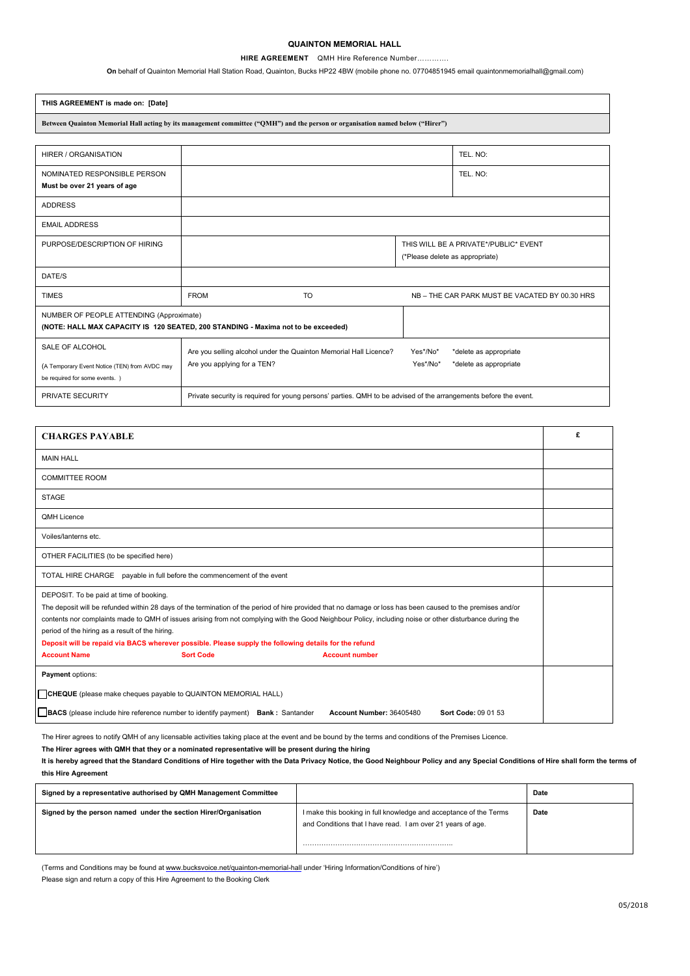## **QUAINTON MEMORIAL HALL**

#### **HIRE AGREEMENT** QMH Hire Reference Number………….

**On** behalf of Quainton Memorial Hall Station Road, Quainton, Bucks HP22 4BW (mobile phone no. 07704851945 email quaintonmemorialhall@gmail.com)

| THIS AGREEMENT is made on: [Date]                                                                                              |                                                                                                                  |                                                                          |                                                |                        |  |  |  |
|--------------------------------------------------------------------------------------------------------------------------------|------------------------------------------------------------------------------------------------------------------|--------------------------------------------------------------------------|------------------------------------------------|------------------------|--|--|--|
| Between Quainton Memorial Hall acting by its management committee ("QMH") and the person or organisation named below ("Hirer") |                                                                                                                  |                                                                          |                                                |                        |  |  |  |
|                                                                                                                                |                                                                                                                  |                                                                          |                                                |                        |  |  |  |
| <b>HIRER / ORGANISATION</b>                                                                                                    |                                                                                                                  |                                                                          |                                                | TEL. NO:               |  |  |  |
| NOMINATED RESPONSIBLE PERSON<br>Must be over 21 years of age                                                                   |                                                                                                                  |                                                                          |                                                | TEL. NO:               |  |  |  |
| <b>ADDRESS</b>                                                                                                                 |                                                                                                                  |                                                                          |                                                |                        |  |  |  |
| <b>EMAIL ADDRESS</b>                                                                                                           |                                                                                                                  |                                                                          |                                                |                        |  |  |  |
| PURPOSE/DESCRIPTION OF HIRING                                                                                                  |                                                                                                                  | THIS WILL BE A PRIVATE*/PUBLIC* EVENT<br>(*Please delete as appropriate) |                                                |                        |  |  |  |
| DATE/S                                                                                                                         |                                                                                                                  |                                                                          |                                                |                        |  |  |  |
| <b>TIMES</b>                                                                                                                   | <b>FROM</b>                                                                                                      | <b>TO</b>                                                                | NB - THE CAR PARK MUST BE VACATED BY 00.30 HRS |                        |  |  |  |
| NUMBER OF PEOPLE ATTENDING (Approximate)<br>(NOTE: HALL MAX CAPACITY IS 120 SEATED, 200 STANDING - Maxima not to be exceeded)  |                                                                                                                  |                                                                          |                                                |                        |  |  |  |
| SALE OF ALCOHOL                                                                                                                |                                                                                                                  | Are you selling alcohol under the Quainton Memorial Hall Licence?        | Yes*/No*                                       | *delete as appropriate |  |  |  |
| (A Temporary Event Notice (TEN) from AVDC may<br>be required for some events. )                                                | Are you applying for a TEN?                                                                                      |                                                                          | Yes*/No*                                       | *delete as appropriate |  |  |  |
| PRIVATE SECURITY                                                                                                               | Private security is required for young persons' parties. QMH to be advised of the arrangements before the event. |                                                                          |                                                |                        |  |  |  |

| <b>CHARGES PAYABLE</b>                                                                                                                                                                                                                                                                                                                                                                                                                                                                                                                                                                             |  |  | £ |  |  |
|----------------------------------------------------------------------------------------------------------------------------------------------------------------------------------------------------------------------------------------------------------------------------------------------------------------------------------------------------------------------------------------------------------------------------------------------------------------------------------------------------------------------------------------------------------------------------------------------------|--|--|---|--|--|
| <b>MAIN HALL</b>                                                                                                                                                                                                                                                                                                                                                                                                                                                                                                                                                                                   |  |  |   |  |  |
| <b>COMMITTEE ROOM</b>                                                                                                                                                                                                                                                                                                                                                                                                                                                                                                                                                                              |  |  |   |  |  |
| <b>STAGE</b>                                                                                                                                                                                                                                                                                                                                                                                                                                                                                                                                                                                       |  |  |   |  |  |
| <b>QMH Licence</b>                                                                                                                                                                                                                                                                                                                                                                                                                                                                                                                                                                                 |  |  |   |  |  |
| Voiles/lanterns etc.                                                                                                                                                                                                                                                                                                                                                                                                                                                                                                                                                                               |  |  |   |  |  |
| OTHER FACILITIES (to be specified here)                                                                                                                                                                                                                                                                                                                                                                                                                                                                                                                                                            |  |  |   |  |  |
| TOTAL HIRE CHARGE<br>payable in full before the commencement of the event                                                                                                                                                                                                                                                                                                                                                                                                                                                                                                                          |  |  |   |  |  |
| DEPOSIT. To be paid at time of booking.<br>The deposit will be refunded within 28 days of the termination of the period of hire provided that no damage or loss has been caused to the premises and/or<br>contents nor complaints made to QMH of issues arising from not complying with the Good Neighbour Policy, including noise or other disturbance during the<br>period of the hiring as a result of the hiring.<br>Deposit will be repaid via BACS wherever possible. Please supply the following details for the refund<br><b>Account Name</b><br><b>Sort Code</b><br><b>Account number</b> |  |  |   |  |  |
| Payment options:                                                                                                                                                                                                                                                                                                                                                                                                                                                                                                                                                                                   |  |  |   |  |  |
| CHEQUE (please make cheques payable to QUAINTON MEMORIAL HALL)                                                                                                                                                                                                                                                                                                                                                                                                                                                                                                                                     |  |  |   |  |  |
| <b>BACS</b> (please include hire reference number to identify payment) <b>Bank</b> : Santander<br>Account Number: 36405480<br>Sort Code: 09 01 53                                                                                                                                                                                                                                                                                                                                                                                                                                                  |  |  |   |  |  |

The Hirer agrees to notify QMH of any licensable activities taking place at the event and be bound by the terms and conditions of the Premises Licence.

**The Hirer agrees with QMH that they or a nominated representative will be present during the hiring** 

It is hereby agreed that the Standard Conditions of Hire together with the Data Privacy Notice, the Good Neighbour Policy and any Special Conditions of Hire shall form the terms of **this Hire Agreement** 

| Signed by a representative authorised by QMH Management Committee |                                                                                                                                  | Date |
|-------------------------------------------------------------------|----------------------------------------------------------------------------------------------------------------------------------|------|
| Signed by the person named under the section Hirer/Organisation   | I make this booking in full knowledge and acceptance of the Terms<br>and Conditions that I have read. I am over 21 years of age. | Date |

(Terms and Conditions may be found at [www.bucksvoice.net/quainton-memorial-hal](http://www.bucksvoice.net/quainton-memorial-hall)[l](www.bucksvoice.net/quainton-memorial-hallunder) under 'Hiring Information/Conditions of hire')

Please sign and return a copy of this Hire Agreement to the Booking Clerk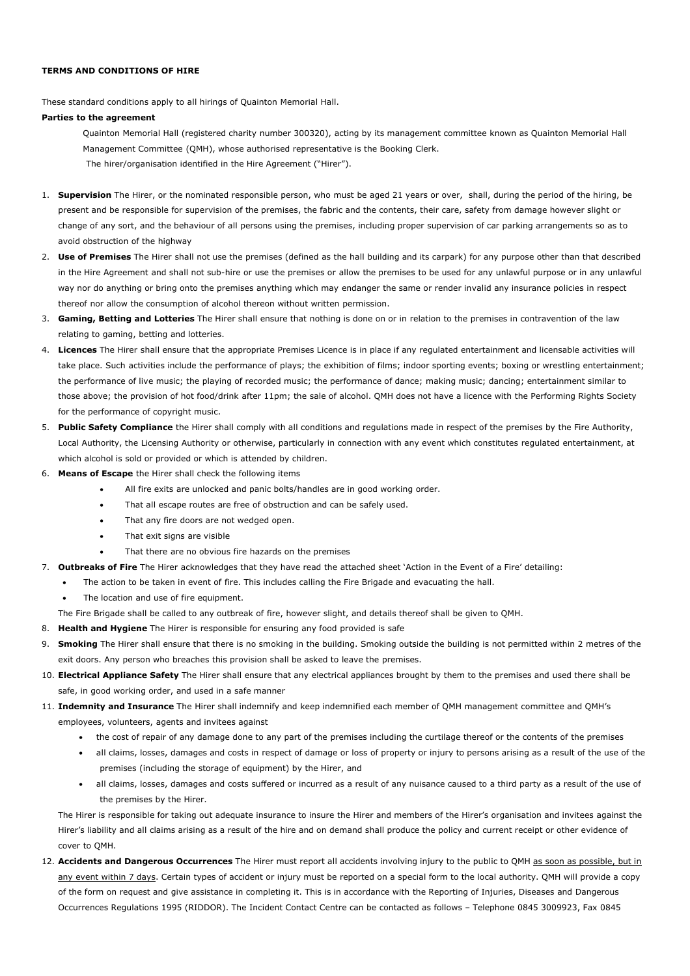## **TERMS AND CONDITIONS OF HIRE**

These standard conditions apply to all hirings of Quainton Memorial Hall.

### **Parties to the agreement**

Quainton Memorial Hall (registered charity number 300320), acting by its management committee known as Quainton Memorial Hall Management Committee (QMH), whose authorised representative is the Booking Clerk. The hirer/organisation identified in the Hire Agreement ("Hirer").

- 1. **Supervision** The Hirer, or the nominated responsible person, who must be aged 21 years or over, shall, during the period of the hiring, be present and be responsible for supervision of the premises, the fabric and the contents, their care, safety from damage however slight or change of any sort, and the behaviour of all persons using the premises, including proper supervision of car parking arrangements so as to avoid obstruction of the highway
- 2. **Use of Premises** The Hirer shall not use the premises (defined as the hall building and its carpark) for any purpose other than that described in the Hire Agreement and shall not sub-hire or use the premises or allow the premises to be used for any unlawful purpose or in any unlawful way nor do anything or bring onto the premises anything which may endanger the same or render invalid any insurance policies in respect thereof nor allow the consumption of alcohol thereon without written permission.
- 3. **Gaming, Betting and Lotteries** The Hirer shall ensure that nothing is done on or in relation to the premises in contravention of the law relating to gaming, betting and lotteries.
- 4. **Licences** The Hirer shall ensure that the appropriate Premises Licence is in place if any regulated entertainment and licensable activities will take place. Such activities include the performance of plays; the exhibition of films; indoor sporting events; boxing or wrestling entertainment; the performance of live music; the playing of recorded music; the performance of dance; making music; dancing; entertainment similar to those above; the provision of hot food/drink after 11pm; the sale of alcohol. QMH does not have a licence with the Performing Rights Society for the performance of copyright music.
- 5. **Public Safety Compliance** the Hirer shall comply with all conditions and regulations made in respect of the premises by the Fire Authority, Local Authority, the Licensing Authority or otherwise, particularly in connection with any event which constitutes regulated entertainment, at which alcohol is sold or provided or which is attended by children.
- 6. **Means of Escape** the Hirer shall check the following items
	- All fire exits are unlocked and panic bolts/handles are in good working order.
	- That all escape routes are free of obstruction and can be safely used.
	- That any fire doors are not wedged open.
	- That exit signs are visible
	- That there are no obvious fire hazards on the premises

## 7. **Outbreaks of Fire** The Hirer acknowledges that they have read the attached sheet 'Action in the Event of a Fire' detailing:

- The action to be taken in event of fire. This includes calling the Fire Brigade and evacuating the hall.
	- The location and use of fire equipment.

The Fire Brigade shall be called to any outbreak of fire, however slight, and details thereof shall be given to QMH.

- 8. **Health and Hygiene** The Hirer is responsible for ensuring any food provided is safe
- 9. **Smoking** The Hirer shall ensure that there is no smoking in the building. Smoking outside the building is not permitted within 2 metres of the exit doors. Any person who breaches this provision shall be asked to leave the premises.
- 10. **Electrical Appliance Safety** The Hirer shall ensure that any electrical appliances brought by them to the premises and used there shall be safe, in good working order, and used in a safe manner
- 11. **Indemnity and Insurance** The Hirer shall indemnify and keep indemnified each member of QMH management committee and QMH's employees, volunteers, agents and invitees against
	- the cost of repair of any damage done to any part of the premises including the curtilage thereof or the contents of the premises
	- all claims, losses, damages and costs in respect of damage or loss of property or injury to persons arising as a result of the use of the premises (including the storage of equipment) by the Hirer, and
	- all claims, losses, damages and costs suffered or incurred as a result of any nuisance caused to a third party as a result of the use of the premises by the Hirer.

The Hirer is responsible for taking out adequate insurance to insure the Hirer and members of the Hirer's organisation and invitees against the Hirer's liability and all claims arising as a result of the hire and on demand shall produce the policy and current receipt or other evidence of cover to QMH.

12. **Accidents and Dangerous Occurrences** The Hirer must report all accidents involving injury to the public to QMH as soon as possible, but in any event within 7 days. Certain types of accident or injury must be reported on a special form to the local authority. QMH will provide a copy of the form on request and give assistance in completing it. This is in accordance with the Reporting of Injuries, Diseases and Dangerous Occurrences Regulations 1995 (RIDDOR). The Incident Contact Centre can be contacted as follows – Telephone 0845 3009923, Fax 0845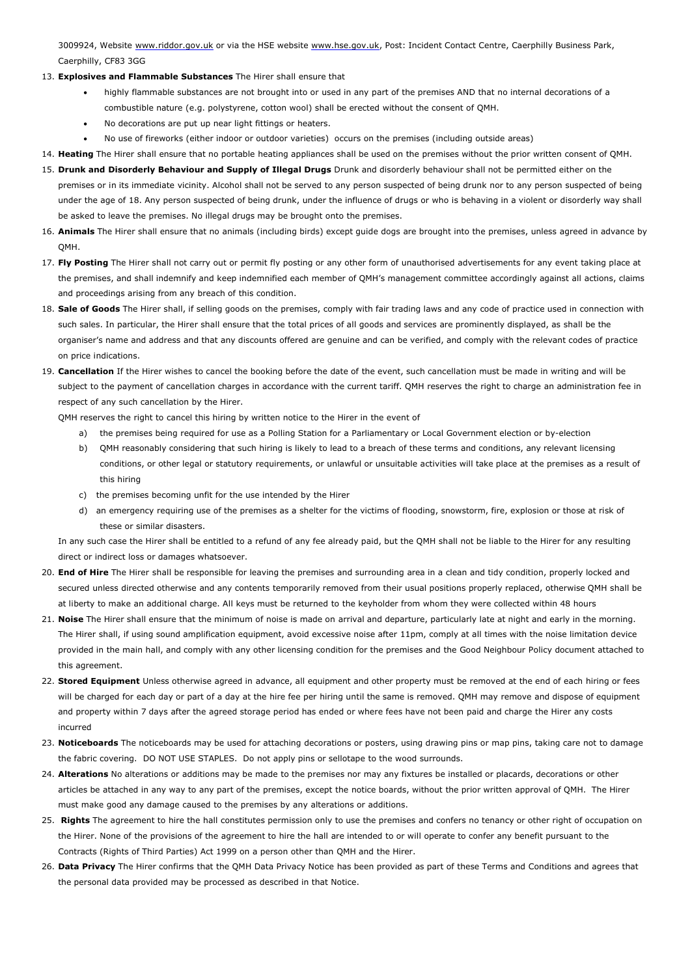3009924, Website [www.riddor.gov.uk](http://www.riddor.gov.uk/) or via the HSE website [www.hse.gov.uk](http://www.hse.gov.uk/), Post: Incident Contact Centre, Caerphilly Business Park, Caerphilly, CF83 3GG

- 13. **Explosives and Flammable Substances** The Hirer shall ensure that
	- highly flammable substances are not brought into or used in any part of the premises AND that no internal decorations of a combustible nature (e.g. polystyrene, cotton wool) shall be erected without the consent of QMH.
	- No decorations are put up near light fittings or heaters.
	- No use of fireworks (either indoor or outdoor varieties) occurs on the premises (including outside areas)
- 14. **Heating** The Hirer shall ensure that no portable heating appliances shall be used on the premises without the prior written consent of QMH.
- 15. **Drunk and Disorderly Behaviour and Supply of Illegal Drugs** Drunk and disorderly behaviour shall not be permitted either on the premises or in its immediate vicinity. Alcohol shall not be served to any person suspected of being drunk nor to any person suspected of being under the age of 18. Any person suspected of being drunk, under the influence of drugs or who is behaving in a violent or disorderly way shall be asked to leave the premises. No illegal drugs may be brought onto the premises.
- 16. **Animals** The Hirer shall ensure that no animals (including birds) except guide dogs are brought into the premises, unless agreed in advance by OMH.
- 17. **Fly Posting** The Hirer shall not carry out or permit fly posting or any other form of unauthorised advertisements for any event taking place at the premises, and shall indemnify and keep indemnified each member of QMH's management committee accordingly against all actions, claims and proceedings arising from any breach of this condition.
- 18. **Sale of Goods** The Hirer shall, if selling goods on the premises, comply with fair trading laws and any code of practice used in connection with such sales. In particular, the Hirer shall ensure that the total prices of all goods and services are prominently displayed, as shall be the organiser's name and address and that any discounts offered are genuine and can be verified, and comply with the relevant codes of practice on price indications.
- 19. **Cancellation** If the Hirer wishes to cancel the booking before the date of the event, such cancellation must be made in writing and will be subject to the payment of cancellation charges in accordance with the current tariff. QMH reserves the right to charge an administration fee in respect of any such cancellation by the Hirer.

QMH reserves the right to cancel this hiring by written notice to the Hirer in the event of

- a) the premises being required for use as a Polling Station for a Parliamentary or Local Government election or by-election
- b) QMH reasonably considering that such hiring is likely to lead to a breach of these terms and conditions, any relevant licensing conditions, or other legal or statutory requirements, or unlawful or unsuitable activities will take place at the premises as a result of this hiring
- c) the premises becoming unfit for the use intended by the Hirer
- d) an emergency requiring use of the premises as a shelter for the victims of flooding, snowstorm, fire, explosion or those at risk of these or similar disasters.

In any such case the Hirer shall be entitled to a refund of any fee already paid, but the QMH shall not be liable to the Hirer for any resulting direct or indirect loss or damages whatsoever.

- 20. **End of Hire** The Hirer shall be responsible for leaving the premises and surrounding area in a clean and tidy condition, properly locked and secured unless directed otherwise and any contents temporarily removed from their usual positions properly replaced, otherwise QMH shall be at liberty to make an additional charge. All keys must be returned to the keyholder from whom they were collected within 48 hours
- 21. **Noise** The Hirer shall ensure that the minimum of noise is made on arrival and departure, particularly late at night and early in the morning. The Hirer shall, if using sound amplification equipment, avoid excessive noise after 11pm, comply at all times with the noise limitation device provided in the main hall, and comply with any other licensing condition for the premises and the Good Neighbour Policy document attached to this agreement.
- 22. **Stored Equipment** Unless otherwise agreed in advance, all equipment and other property must be removed at the end of each hiring or fees will be charged for each day or part of a day at the hire fee per hiring until the same is removed. QMH may remove and dispose of equipment and property within 7 days after the agreed storage period has ended or where fees have not been paid and charge the Hirer any costs incurred
- 23. **Noticeboards** The noticeboards may be used for attaching decorations or posters, using drawing pins or map pins, taking care not to damage the fabric covering. DO NOT USE STAPLES. Do not apply pins or sellotape to the wood surrounds.
- 24. **Alterations** No alterations or additions may be made to the premises nor may any fixtures be installed or placards, decorations or other articles be attached in any way to any part of the premises, except the notice boards, without the prior written approval of QMH. The Hirer must make good any damage caused to the premises by any alterations or additions.
- 25. **Rights** The agreement to hire the hall constitutes permission only to use the premises and confers no tenancy or other right of occupation on the Hirer. None of the provisions of the agreement to hire the hall are intended to or will operate to confer any benefit pursuant to the Contracts (Rights of Third Parties) Act 1999 on a person other than QMH and the Hirer.
- 26. **Data Privacy** The Hirer confirms that the QMH Data Privacy Notice has been provided as part of these Terms and Conditions and agrees that the personal data provided may be processed as described in that Notice.